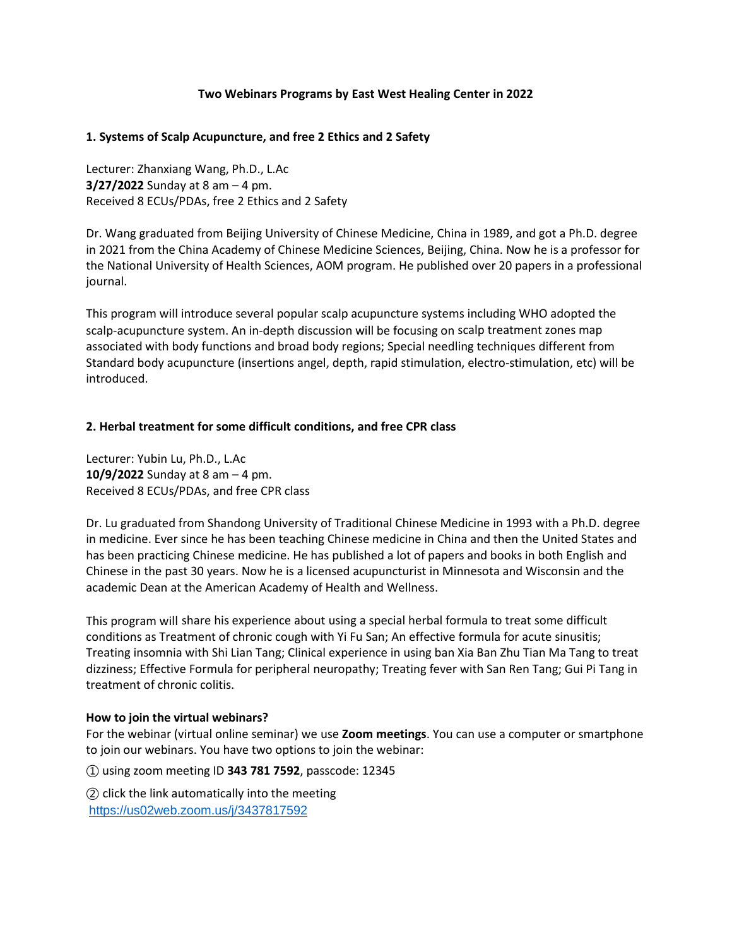# **Two Webinars Programs by East West Healing Center in 2022**

## **1. Systems of Scalp Acupuncture, and free 2 Ethics and 2 Safety**

Lecturer: Zhanxiang Wang, Ph.D., L.Ac **3/27/2022** Sunday at 8 am – 4 pm. Received 8 ECUs/PDAs, free 2 Ethics and 2 Safety

Dr. Wang graduated from Beijing University of Chinese Medicine, China in 1989, and got a Ph.D. degree in 2021 from the China Academy of Chinese Medicine Sciences, Beijing, China. Now he is a professor for the National University of Health Sciences, AOM program. He published over 20 papers in a professional journal.

This program will introduce several popular scalp acupuncture systems including WHO adopted the scalp-acupuncture system. An in-depth discussion will be focusing on scalp treatment zones map associated with body functions and broad body regions; Special needling techniques different from Standard body acupuncture (insertions angel, depth, rapid stimulation, electro-stimulation, etc) will be introduced.

# **2. Herbal treatment for some difficult conditions, and free CPR class**

Lecturer: Yubin Lu, Ph.D., L.Ac **10/9/2022** Sunday at 8 am – 4 pm. Received 8 ECUs/PDAs, and free CPR class

Dr. Lu graduated from Shandong University of Traditional Chinese Medicine in 1993 with a Ph.D. degree in medicine. Ever since he has been teaching Chinese medicine in China and then the United States and has been practicing Chinese medicine. He has published a lot of papers and books in both English and Chinese in the past 30 years. Now he is a licensed acupuncturist in Minnesota and Wisconsin and the academic Dean at the American Academy of Health and Wellness.

This program will share his experience about using a special herbal formula to treat some difficult conditions as Treatment of chronic cough with Yi Fu San; An effective formula for acute sinusitis; Treating insomnia with Shi Lian Tang; Clinical experience in using ban Xia Ban Zhu Tian Ma Tang to treat dizziness; Effective Formula for peripheral neuropathy; Treating fever with San Ren Tang; Gui Pi Tang in treatment of chronic colitis.

#### **How to join the virtual webinars?**

For the webinar (virtual online seminar) we use **Zoom meetings**. You can use a computer or smartphone to join our webinars. You have two options to join the webinar:

① using zoom meeting ID **343 781 7592**, passcode: 12345

② click the link automatically into the meeting <https://us02web.zoom.us/j/3437817592>